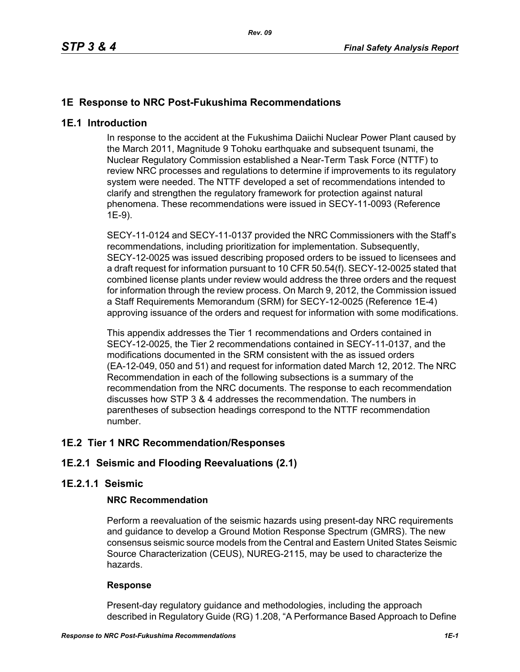### **1E Response to NRC Post-Fukushima Recommendations**

### **1E.1 Introduction**

In response to the accident at the Fukushima Daiichi Nuclear Power Plant caused by the March 2011, Magnitude 9 Tohoku earthquake and subsequent tsunami, the Nuclear Regulatory Commission established a Near-Term Task Force (NTTF) to review NRC processes and regulations to determine if improvements to its regulatory system were needed. The NTTF developed a set of recommendations intended to clarify and strengthen the regulatory framework for protection against natural phenomena. These recommendations were issued in SECY-11-0093 (Reference 1E-9).

SECY-11-0124 and SECY-11-0137 provided the NRC Commissioners with the Staff's recommendations, including prioritization for implementation. Subsequently, SECY-12-0025 was issued describing proposed orders to be issued to licensees and a draft request for information pursuant to 10 CFR 50.54(f). SECY-12-0025 stated that combined license plants under review would address the three orders and the request for information through the review process. On March 9, 2012, the Commission issued a Staff Requirements Memorandum (SRM) for SECY-12-0025 (Reference 1E-4) approving issuance of the orders and request for information with some modifications.

This appendix addresses the Tier 1 recommendations and Orders contained in SECY-12-0025, the Tier 2 recommendations contained in SECY-11-0137, and the modifications documented in the SRM consistent with the as issued orders (EA-12-049, 050 and 51) and request for information dated March 12, 2012. The NRC Recommendation in each of the following subsections is a summary of the recommendation from the NRC documents. The response to each recommendation discusses how STP 3 & 4 addresses the recommendation. The numbers in parentheses of subsection headings correspond to the NTTF recommendation number.

### **1E.2 Tier 1 NRC Recommendation/Responses**

### **1E.2.1 Seismic and Flooding Reevaluations (2.1)**

### **1E.2.1.1 Seismic**

### **NRC Recommendation**

Perform a reevaluation of the seismic hazards using present-day NRC requirements and guidance to develop a Ground Motion Response Spectrum (GMRS). The new consensus seismic source models from the Central and Eastern United States Seismic Source Characterization (CEUS), NUREG-2115, may be used to characterize the hazards.

### **Response**

Present-day regulatory guidance and methodologies, including the approach described in Regulatory Guide (RG) 1.208, "A Performance Based Approach to Define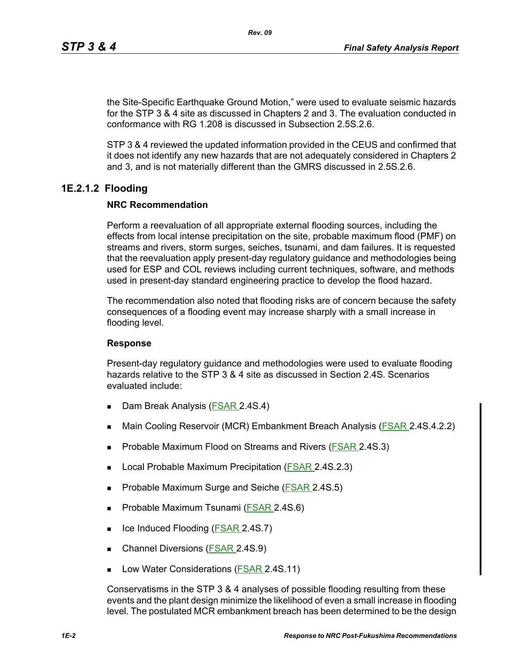the Site-Specific Earthquake Ground Motion," were used to evaluate seismic hazards for the STP 3 & 4 site as discussed in Chapters 2 and 3. The evaluation conducted in conformance with RG 1.208 is discussed in Subsection 2.5S.2.6.

STP 3 & 4 reviewed the updated information provided in the CEUS and confirmed that it does not identify any new hazards that are not adequately considered in Chapters 2 and 3, and is not materially different than the GMRS discussed in 2.5S.2.6.

# **1E.2.1.2 Flooding**

### **NRC Recommendation**

Perform a reevaluation of all appropriate external flooding sources, including the effects from local intense precipitation on the site, probable maximum flood (PMF) on streams and rivers, storm surges, seiches, tsunami, and dam failures. It is requested that the reevaluation apply present-day regulatory guidance and methodologies being used for ESP and COL reviews including current techniques, software, and methods used in present-day standard engineering practice to develop the flood hazard.

The recommendation also noted that flooding risks are of concern because the safety consequences of a flooding event may increase sharply with a small increase in flooding level.

### **Response**

Present-day regulatory guidance and methodologies were used to evaluate flooding hazards relative to the STP 3 & 4 site as discussed in Section 2.4S. Scenarios evaluated include:

- Dam Break Analysis (FSAR 2.4S.4)
- Main Cooling Reservoir (MCR) Embankment Breach Analysis (FSAR 2.4S.4.2.2)
- **Probable Maximum Flood on Streams and Rivers (FSAR 2.4S.3)**
- **Local Probable Maximum Precipitation (FSAR 2.4S.2.3)**
- **Probable Maximum Surge and Seiche (FSAR 2.4S.5)**
- Probable Maximum Tsunami (FSAR 2.4S.6)
- $\blacksquare$  Ice Induced Flooding (FSAR 2.4S.7)
- Channel Diversions (FSAR 2.4S.9)
- **Low Water Considerations (FSAR 2.4S.11)**

Conservatisms in the STP 3 & 4 analyses of possible flooding resulting from these events and the plant design minimize the likelihood of even a small increase in flooding level. The postulated MCR embankment breach has been determined to be the design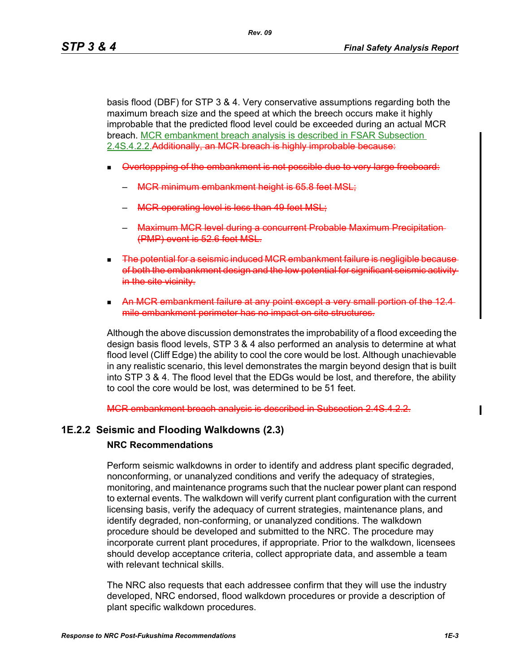basis flood (DBF) for STP 3 & 4. Very conservative assumptions regarding both the maximum breach size and the speed at which the breech occurs make it highly improbable that the predicted flood level could be exceeded during an actual MCR breach. MCR embankment breach analysis is described in FSAR Subsection 2.4S.4.2.2.Additionally, an MCR breach is highly improbable because:

- Overtoppping of the embankment is not possible due to very large freeboard:
	- MCR minimum embankment height is 65.8 feet MSL;
	- MCR operating level is less than 49 feet MSL;
	- Maximum MCR level during a concurrent Probable Maximum Precipitation (PMP) event is 52.6 feet MSL.
- $\blacksquare$  The potential for a seismic induced MCR embankment failure is negligible because. of both the embankment design and the low potential for significant sei in the site vicinity.
- **An MCR embankment failure at any point except a very small portion of the 12.4** mile embankment perimeter has no impact on site structures.

Although the above discussion demonstrates the improbability of a flood exceeding the design basis flood levels, STP 3 & 4 also performed an analysis to determine at what flood level (Cliff Edge) the ability to cool the core would be lost. Although unachievable in any realistic scenario, this level demonstrates the margin beyond design that is built into STP 3 & 4. The flood level that the EDGs would be lost, and therefore, the ability to cool the core would be lost, was determined to be 51 feet.

MCR embankment breach analysis is described in

### **1E.2.2 Seismic and Flooding Walkdowns (2.3)**

### **NRC Recommendations**

Perform seismic walkdowns in order to identify and address plant specific degraded, nonconforming, or unanalyzed conditions and verify the adequacy of strategies, monitoring, and maintenance programs such that the nuclear power plant can respond to external events. The walkdown will verify current plant configuration with the current licensing basis, verify the adequacy of current strategies, maintenance plans, and identify degraded, non-conforming, or unanalyzed conditions. The walkdown procedure should be developed and submitted to the NRC. The procedure may incorporate current plant procedures, if appropriate. Prior to the walkdown, licensees should develop acceptance criteria, collect appropriate data, and assemble a team with relevant technical skills.

The NRC also requests that each addressee confirm that they will use the industry developed, NRC endorsed, flood walkdown procedures or provide a description of plant specific walkdown procedures.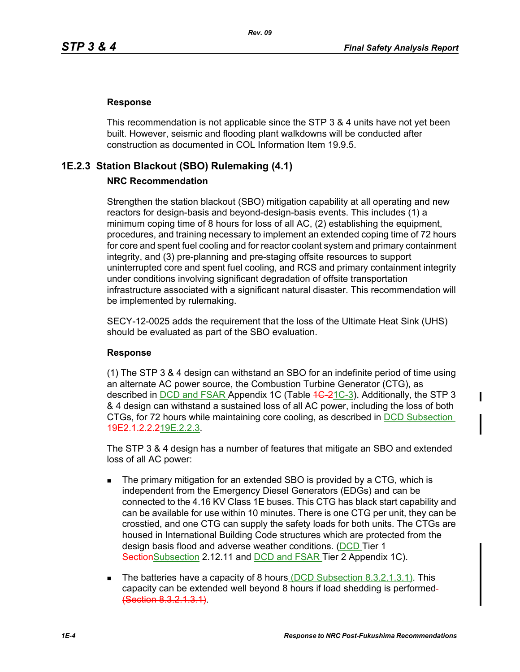#### **Response**

This recommendation is not applicable since the STP 3 & 4 units have not yet been built. However, seismic and flooding plant walkdowns will be conducted after construction as documented in COL Information Item 19.9.5.

### **1E.2.3 Station Blackout (SBO) Rulemaking (4.1)**

### **NRC Recommendation**

Strengthen the station blackout (SBO) mitigation capability at all operating and new reactors for design-basis and beyond-design-basis events. This includes (1) a minimum coping time of 8 hours for loss of all AC, (2) establishing the equipment, procedures, and training necessary to implement an extended coping time of 72 hours for core and spent fuel cooling and for reactor coolant system and primary containment integrity, and (3) pre-planning and pre-staging offsite resources to support uninterrupted core and spent fuel cooling, and RCS and primary containment integrity under conditions involving significant degradation of offsite transportation infrastructure associated with a significant natural disaster. This recommendation will be implemented by rulemaking.

SECY-12-0025 adds the requirement that the loss of the Ultimate Heat Sink (UHS) should be evaluated as part of the SBO evaluation.

#### **Response**

(1) The STP 3 & 4 design can withstand an SBO for an indefinite period of time using an alternate AC power source, the Combustion Turbine Generator (CTG), as described in  $\underline{DCD}$  and FSAR Appendix 1C (Table  $4C-21C-3$ ). Additionally, the STP 3 & 4 design can withstand a sustained loss of all AC power, including the loss of both CTGs, for 72 hours while maintaining core cooling, as described in DCD Subsection 19E2.1.2.2.219E.2.2.3.

The STP 3 & 4 design has a number of features that mitigate an SBO and extended loss of all AC power:

- The primary mitigation for an extended SBO is provided by a CTG, which is independent from the Emergency Diesel Generators (EDGs) and can be connected to the 4.16 KV Class 1E buses. This CTG has black start capability and can be available for use within 10 minutes. There is one CTG per unit, they can be crosstied, and one CTG can supply the safety loads for both units. The CTGs are housed in International Building Code structures which are protected from the design basis flood and adverse weather conditions. (DCD Tier 1 SectionSubsection 2.12.11 and DCD and FSAR Tier 2 Appendix 1C).
- The batteries have a capacity of 8 hours (DCD Subsection  $8.3.2.1.3.1$ ). This capacity can be extended well beyond 8 hours if load shedding is performed (Section 8.3.2.1.3.1).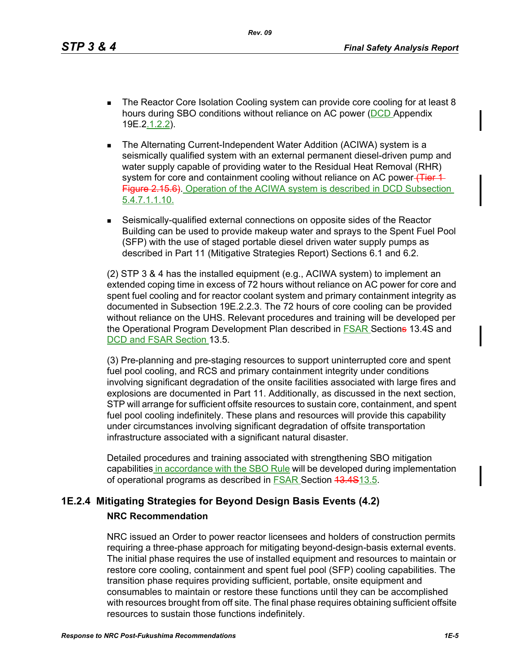- The Reactor Core Isolation Cooling system can provide core cooling for at least 8 hours during SBO conditions without reliance on AC power (DCD Appendix 19E.2.1.2.2).
- The Alternating Current-Independent Water Addition (ACIWA) system is a seismically qualified system with an external permanent diesel-driven pump and water supply capable of providing water to the Residual Heat Removal (RHR) system for core and containment cooling without reliance on AC power (Tier 1 Figure 2.15.6). Operation of the ACIWA system is described in DCD Subsection 5.4.7.1.1.10.
- Seismically-qualified external connections on opposite sides of the Reactor Building can be used to provide makeup water and sprays to the Spent Fuel Pool (SFP) with the use of staged portable diesel driven water supply pumps as described in Part 11 (Mitigative Strategies Report) Sections 6.1 and 6.2.

(2) STP 3 & 4 has the installed equipment (e.g., ACIWA system) to implement an extended coping time in excess of 72 hours without reliance on AC power for core and spent fuel cooling and for reactor coolant system and primary containment integrity as documented in Subsection 19E.2.2.3. The 72 hours of core cooling can be provided without reliance on the UHS. Relevant procedures and training will be developed per the Operational Program Development Plan described in FSAR Sections 13.4S and DCD and FSAR Section 13.5.

(3) Pre-planning and pre-staging resources to support uninterrupted core and spent fuel pool cooling, and RCS and primary containment integrity under conditions involving significant degradation of the onsite facilities associated with large fires and explosions are documented in Part 11. Additionally, as discussed in the next section, STP will arrange for sufficient offsite resources to sustain core, containment, and spent fuel pool cooling indefinitely. These plans and resources will provide this capability under circumstances involving significant degradation of offsite transportation infrastructure associated with a significant natural disaster.

Detailed procedures and training associated with strengthening SBO mitigation capabilities in accordance with the SBO Rule will be developed during implementation of operational programs as described in FSAR Section 43.4S13.5.

# **1E.2.4 Mitigating Strategies for Beyond Design Basis Events (4.2)**

### **NRC Recommendation**

NRC issued an Order to power reactor licensees and holders of construction permits requiring a three-phase approach for mitigating beyond-design-basis external events. The initial phase requires the use of installed equipment and resources to maintain or restore core cooling, containment and spent fuel pool (SFP) cooling capabilities. The transition phase requires providing sufficient, portable, onsite equipment and consumables to maintain or restore these functions until they can be accomplished with resources brought from off site. The final phase requires obtaining sufficient offsite resources to sustain those functions indefinitely.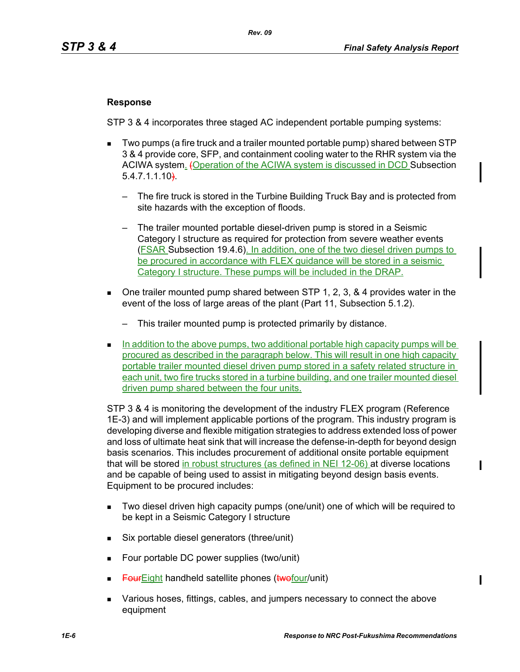#### **Response**

STP 3 & 4 incorporates three staged AC independent portable pumping systems:

- Two pumps (a fire truck and a trailer mounted portable pump) shared between STP 3 & 4 provide core, SFP, and containment cooling water to the RHR system via the ACIWA system. (Operation of the ACIWA system is discussed in DCD Subsection  $5.4.7.1.1.10$ <sup>3</sup>
	- The fire truck is stored in the Turbine Building Truck Bay and is protected from site hazards with the exception of floods.
	- The trailer mounted portable diesel-driven pump is stored in a Seismic Category I structure as required for protection from severe weather events (FSAR Subsection 19.4.6). In addition, one of the two diesel driven pumps to be procured in accordance with FLEX guidance will be stored in a seismic Category I structure. These pumps will be included in the DRAP.
- $\blacksquare$  One trailer mounted pump shared between STP 1, 2, 3, & 4 provides water in the event of the loss of large areas of the plant (Part 11, Subsection 5.1.2).
	- This trailer mounted pump is protected primarily by distance.
- In addition to the above pumps, two additional portable high capacity pumps will be procured as described in the paragraph below. This will result in one high capacity portable trailer mounted diesel driven pump stored in a safety related structure in each unit, two fire trucks stored in a turbine building, and one trailer mounted diesel driven pump shared between the four units.

STP 3 & 4 is monitoring the development of the industry FLEX program (Reference 1E-3) and will implement applicable portions of the program. This industry program is developing diverse and flexible mitigation strategies to address extended loss of power and loss of ultimate heat sink that will increase the defense-in-depth for beyond design basis scenarios. This includes procurement of additional onsite portable equipment that will be stored in robust structures (as defined in NEI 12-06) at diverse locations and be capable of being used to assist in mitigating beyond design basis events. Equipment to be procured includes:

- Two diesel driven high capacity pumps (one/unit) one of which will be required to be kept in a Seismic Category I structure
- Six portable diesel generators (three/unit)
- Four portable DC power supplies (two/unit)
- FourEight handheld satellite phones (twofour/unit)
- Various hoses, fittings, cables, and jumpers necessary to connect the above equipment

I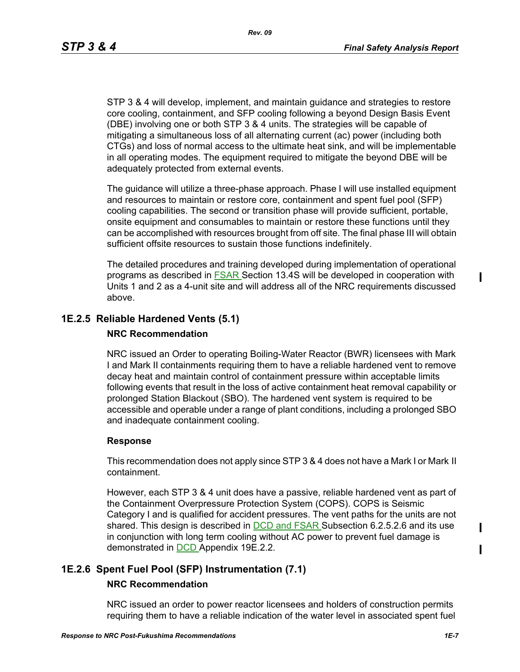STP 3 & 4 will develop, implement, and maintain guidance and strategies to restore core cooling, containment, and SFP cooling following a beyond Design Basis Event (DBE) involving one or both STP 3 & 4 units. The strategies will be capable of mitigating a simultaneous loss of all alternating current (ac) power (including both CTGs) and loss of normal access to the ultimate heat sink, and will be implementable in all operating modes. The equipment required to mitigate the beyond DBE will be adequately protected from external events.

The guidance will utilize a three-phase approach. Phase I will use installed equipment and resources to maintain or restore core, containment and spent fuel pool (SFP) cooling capabilities. The second or transition phase will provide sufficient, portable, onsite equipment and consumables to maintain or restore these functions until they can be accomplished with resources brought from off site. The final phase III will obtain sufficient offsite resources to sustain those functions indefinitely.

The detailed procedures and training developed during implementation of operational programs as described in **FSAR Section 13.4S will be developed in cooperation with** Units 1 and 2 as a 4-unit site and will address all of the NRC requirements discussed above.

### **1E.2.5 Reliable Hardened Vents (5.1)**

#### **NRC Recommendation**

NRC issued an Order to operating Boiling-Water Reactor (BWR) licensees with Mark I and Mark II containments requiring them to have a reliable hardened vent to remove decay heat and maintain control of containment pressure within acceptable limits following events that result in the loss of active containment heat removal capability or prolonged Station Blackout (SBO). The hardened vent system is required to be accessible and operable under a range of plant conditions, including a prolonged SBO and inadequate containment cooling.

#### **Response**

This recommendation does not apply since STP 3 & 4 does not have a Mark I or Mark II containment.

However, each STP 3 & 4 unit does have a passive, reliable hardened vent as part of the Containment Overpressure Protection System (COPS). COPS is Seismic Category I and is qualified for accident pressures. The vent paths for the units are not shared. This design is described in DCD and FSAR Subsection 6.2.5.2.6 and its use in conjunction with long term cooling without AC power to prevent fuel damage is demonstrated in DCD Appendix 19E.2.2.

# **1E.2.6 Spent Fuel Pool (SFP) Instrumentation (7.1)**

#### **NRC Recommendation**

NRC issued an order to power reactor licensees and holders of construction permits requiring them to have a reliable indication of the water level in associated spent fuel ı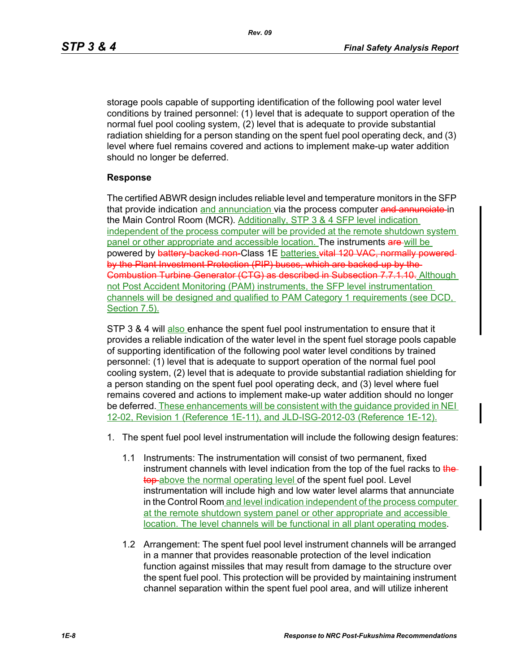storage pools capable of supporting identification of the following pool water level conditions by trained personnel: (1) level that is adequate to support operation of the normal fuel pool cooling system, (2) level that is adequate to provide substantial radiation shielding for a person standing on the spent fuel pool operating deck, and (3) level where fuel remains covered and actions to implement make-up water addition should no longer be deferred.

### **Response**

The certified ABWR design includes reliable level and temperature monitors in the SFP that provide indication and annunciation via the process computer and annunciate in the Main Control Room (MCR). Additionally, STP 3 & 4 SFP level indication independent of the process computer will be provided at the remote shutdown system panel or other appropriate and accessible location. The instruments are will be powered by battery-backed non-Class 1E batteries. vital 120 VAC, normally powered by the Plant Investment Protection (PIP) buses, which are backed up by the Combustion Turbine Generator (CTG) as described in Subsection 7.7.1.10. Although not Post Accident Monitoring (PAM) instruments, the SFP level instrumentation channels will be designed and qualified to PAM Category 1 requirements (see DCD, Section 7.5).

STP 3 & 4 will also enhance the spent fuel pool instrumentation to ensure that it provides a reliable indication of the water level in the spent fuel storage pools capable of supporting identification of the following pool water level conditions by trained personnel: (1) level that is adequate to support operation of the normal fuel pool cooling system, (2) level that is adequate to provide substantial radiation shielding for a person standing on the spent fuel pool operating deck, and (3) level where fuel remains covered and actions to implement make-up water addition should no longer be deferred. These enhancements will be consistent with the guidance provided in NEI 12-02, Revision 1 (Reference 1E-11), and JLD-ISG-2012-03 (Reference 1E-12).

- 1. The spent fuel pool level instrumentation will include the following design features:
	- 1.1 Instruments: The instrumentation will consist of two permanent, fixed instrument channels with level indication from the top of the fuel racks to thetop-above the normal operating level of the spent fuel pool. Level instrumentation will include high and low water level alarms that annunciate in the Control Room and level indication independent of the process computer at the remote shutdown system panel or other appropriate and accessible location. The level channels will be functional in all plant operating modes.
	- 1.2 Arrangement: The spent fuel pool level instrument channels will be arranged in a manner that provides reasonable protection of the level indication function against missiles that may result from damage to the structure over the spent fuel pool. This protection will be provided by maintaining instrument channel separation within the spent fuel pool area, and will utilize inherent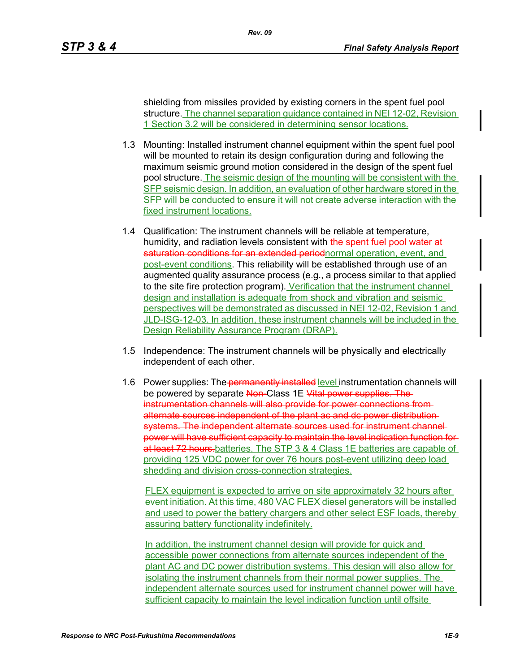shielding from missiles provided by existing corners in the spent fuel pool structure. The channel separation guidance contained in NEI 12-02, Revision 1 Section 3.2 will be considered in determining sensor locations.

- 1.3 Mounting: Installed instrument channel equipment within the spent fuel pool will be mounted to retain its design configuration during and following the maximum seismic ground motion considered in the design of the spent fuel pool structure. The seismic design of the mounting will be consistent with the SFP seismic design. In addition, an evaluation of other hardware stored in the SFP will be conducted to ensure it will not create adverse interaction with the fixed instrument locations.
- 1.4 Qualification: The instrument channels will be reliable at temperature, humidity, and radiation levels consistent with the spent fuel pool water at saturation conditions for an extended periodnormal operation, event, and post-event conditions. This reliability will be established through use of an augmented quality assurance process (e.g., a process similar to that applied to the site fire protection program). Verification that the instrument channel design and installation is adequate from shock and vibration and seismic perspectives will be demonstrated as discussed in NEI 12-02, Revision 1 and JLD-ISG-12-03. In addition, these instrument channels will be included in the Design Reliability Assurance Program (DRAP).
- 1.5 Independence: The instrument channels will be physically and electrically independent of each other.
- 1.6 Power supplies: The permanently installed level instrumentation channels will be powered by separate Non-Class 1E Vital power supplies. The instrumentation channels will also provide for power connections from alternate sources independent of the plant ac and dc power distribution systems. The independent alternate sources used for instrument channelpower will have sufficient capacity to maintain the level indication function for at least 72 hours. batteries. The STP 3 & 4 Class 1E batteries are capable of providing 125 VDC power for over 76 hours post-event utilizing deep load shedding and division cross-connection strategies.

FLEX equipment is expected to arrive on site approximately 32 hours after event initiation. At this time, 480 VAC FLEX diesel generators will be installed and used to power the battery chargers and other select ESF loads, thereby assuring battery functionality indefinitely.

In addition, the instrument channel design will provide for quick and accessible power connections from alternate sources independent of the plant AC and DC power distribution systems. This design will also allow for isolating the instrument channels from their normal power supplies. The independent alternate sources used for instrument channel power will have sufficient capacity to maintain the level indication function until offsite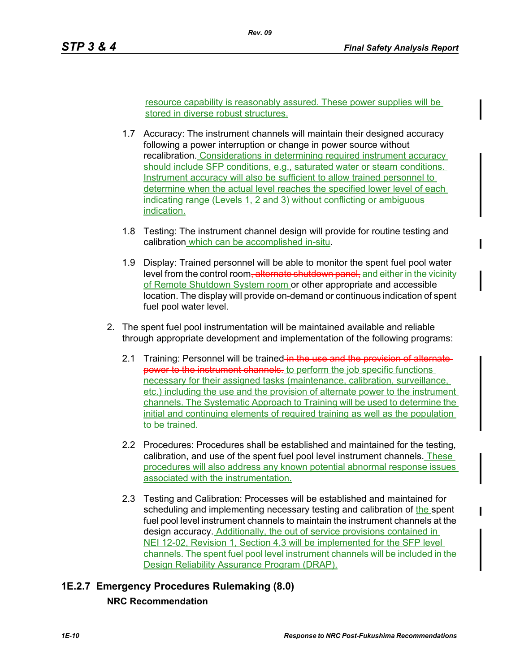resource capability is reasonably assured. These power supplies will be stored in diverse robust structures.

- 1.7 Accuracy: The instrument channels will maintain their designed accuracy following a power interruption or change in power source without recalibration. Considerations in determining required instrument accuracy should include SFP conditions, e.g., saturated water or steam conditions. Instrument accuracy will also be sufficient to allow trained personnel to determine when the actual level reaches the specified lower level of each indicating range (Levels 1, 2 and 3) without conflicting or ambiguous indication.
- 1.8 Testing: The instrument channel design will provide for routine testing and calibration which can be accomplished in-situ.
- 1.9 Display: Trained personnel will be able to monitor the spent fuel pool water level from the control room<del>, alternate shutdown panel,</del> and either in the vicinity of Remote Shutdown System room or other appropriate and accessible location. The display will provide on-demand or continuous indication of spent fuel pool water level.
- 2. The spent fuel pool instrumentation will be maintained available and reliable through appropriate development and implementation of the following programs:
	- 2.1 Training: Personnel will be trained in the use and the provision of alternate **power to the instrument channels** to perform the job specific functions necessary for their assigned tasks (maintenance, calibration, surveillance, etc.) including the use and the provision of alternate power to the instrument channels. The Systematic Approach to Training will be used to determine the initial and continuing elements of required training as well as the population to be trained.
	- 2.2 Procedures: Procedures shall be established and maintained for the testing, calibration, and use of the spent fuel pool level instrument channels. These procedures will also address any known potential abnormal response issues associated with the instrumentation.
	- 2.3 Testing and Calibration: Processes will be established and maintained for scheduling and implementing necessary testing and calibration of the spent fuel pool level instrument channels to maintain the instrument channels at the design accuracy. Additionally, the out of service provisions contained in NEI 12-02, Revision 1, Section 4.3 will be implemented for the SFP level channels. The spent fuel pool level instrument channels will be included in the Design Reliability Assurance Program (DRAP).

# **1E.2.7 Emergency Procedures Rulemaking (8.0) NRC Recommendation**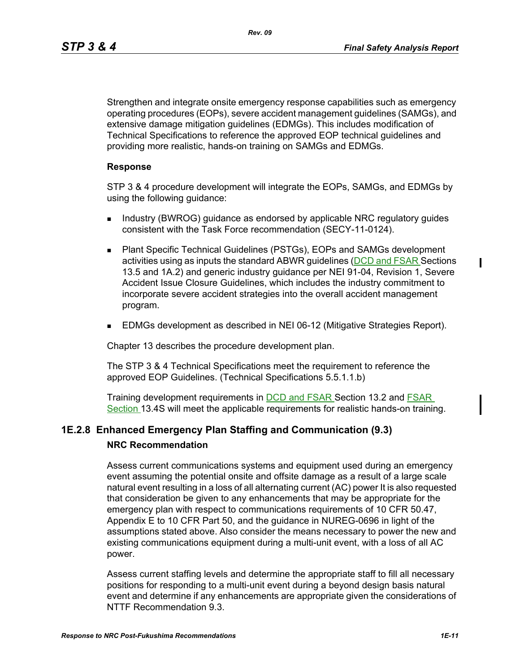Strengthen and integrate onsite emergency response capabilities such as emergency operating procedures (EOPs), severe accident management guidelines (SAMGs), and extensive damage mitigation guidelines (EDMGs). This includes modification of Technical Specifications to reference the approved EOP technical guidelines and providing more realistic, hands-on training on SAMGs and EDMGs.

#### **Response**

STP 3 & 4 procedure development will integrate the EOPs, SAMGs, and EDMGs by using the following guidance:

- **Industry (BWROG) guidance as endorsed by applicable NRC regulatory guides** consistent with the Task Force recommendation (SECY-11-0124).
- Plant Specific Technical Guidelines (PSTGs), EOPs and SAMGs development activities using as inputs the standard ABWR guidelines (DCD and FSAR Sections 13.5 and 1A.2) and generic industry guidance per NEI 91-04, Revision 1, Severe Accident Issue Closure Guidelines, which includes the industry commitment to incorporate severe accident strategies into the overall accident management program.
- EDMGs development as described in NEI 06-12 (Mitigative Strategies Report).

Chapter 13 describes the procedure development plan.

The STP 3 & 4 Technical Specifications meet the requirement to reference the approved EOP Guidelines. (Technical Specifications 5.5.1.1.b)

Training development requirements in DCD and FSAR Section 13.2 and FSAR Section 13.4S will meet the applicable requirements for realistic hands-on training.

# **1E.2.8 Enhanced Emergency Plan Staffing and Communication (9.3) NRC Recommendation**

Assess current communications systems and equipment used during an emergency event assuming the potential onsite and offsite damage as a result of a large scale natural event resulting in a loss of all alternating current (AC) power It is also requested that consideration be given to any enhancements that may be appropriate for the emergency plan with respect to communications requirements of 10 CFR 50.47, Appendix E to 10 CFR Part 50, and the guidance in NUREG-0696 in light of the assumptions stated above. Also consider the means necessary to power the new and existing communications equipment during a multi-unit event, with a loss of all AC power.

Assess current staffing levels and determine the appropriate staff to fill all necessary positions for responding to a multi-unit event during a beyond design basis natural event and determine if any enhancements are appropriate given the considerations of NTTF Recommendation 9.3.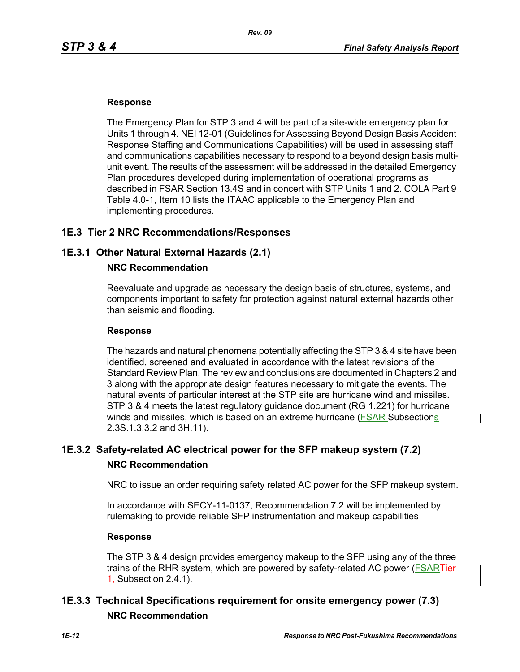### **Response**

The Emergency Plan for STP 3 and 4 will be part of a site-wide emergency plan for Units 1 through 4. NEI 12-01 (Guidelines for Assessing Beyond Design Basis Accident Response Staffing and Communications Capabilities) will be used in assessing staff and communications capabilities necessary to respond to a beyond design basis multiunit event. The results of the assessment will be addressed in the detailed Emergency Plan procedures developed during implementation of operational programs as described in FSAR Section 13.4S and in concert with STP Units 1 and 2. COLA Part 9 Table 4.0-1, Item 10 lists the ITAAC applicable to the Emergency Plan and implementing procedures.

### **1E.3 Tier 2 NRC Recommendations/Responses**

### **1E.3.1 Other Natural External Hazards (2.1)**

#### **NRC Recommendation**

Reevaluate and upgrade as necessary the design basis of structures, systems, and components important to safety for protection against natural external hazards other than seismic and flooding.

#### **Response**

The hazards and natural phenomena potentially affecting the STP 3 & 4 site have been identified, screened and evaluated in accordance with the latest revisions of the Standard Review Plan. The review and conclusions are documented in Chapters 2 and 3 along with the appropriate design features necessary to mitigate the events. The natural events of particular interest at the STP site are hurricane wind and missiles. STP 3 & 4 meets the latest regulatory guidance document (RG 1.221) for hurricane winds and missiles, which is based on an extreme hurricane (FSAR Subsections 2.3S.1.3.3.2 and 3H.11).

# **1E.3.2 Safety-related AC electrical power for the SFP makeup system (7.2) NRC Recommendation**

NRC to issue an order requiring safety related AC power for the SFP makeup system.

In accordance with SECY-11-0137, Recommendation 7.2 will be implemented by rulemaking to provide reliable SFP instrumentation and makeup capabilities

#### **Response**

The STP 3 & 4 design provides emergency makeup to the SFP using any of the three trains of the RHR system, which are powered by safety-related AC power (*FSARTier-***4, Subsection 2.4.1).** 

# **1E.3.3 Technical Specifications requirement for onsite emergency power (7.3) NRC Recommendation**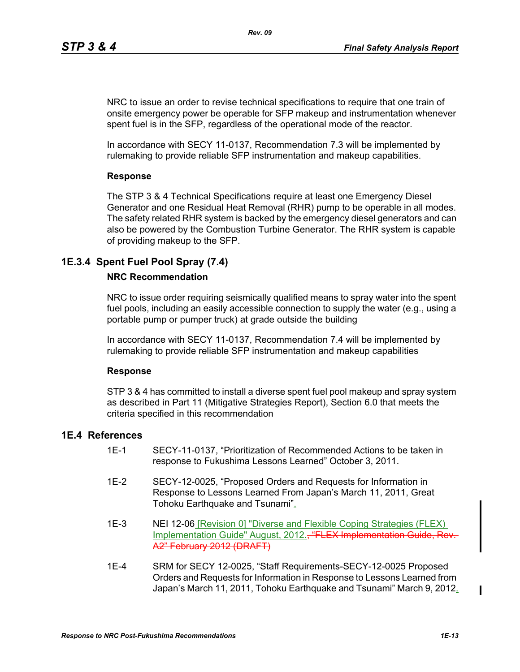NRC to issue an order to revise technical specifications to require that one train of onsite emergency power be operable for SFP makeup and instrumentation whenever spent fuel is in the SFP, regardless of the operational mode of the reactor.

In accordance with SECY 11-0137, Recommendation 7.3 will be implemented by rulemaking to provide reliable SFP instrumentation and makeup capabilities.

### **Response**

The STP 3 & 4 Technical Specifications require at least one Emergency Diesel Generator and one Residual Heat Removal (RHR) pump to be operable in all modes. The safety related RHR system is backed by the emergency diesel generators and can also be powered by the Combustion Turbine Generator. The RHR system is capable of providing makeup to the SFP.

# **1E.3.4 Spent Fuel Pool Spray (7.4)**

### **NRC Recommendation**

NRC to issue order requiring seismically qualified means to spray water into the spent fuel pools, including an easily accessible connection to supply the water (e.g., using a portable pump or pumper truck) at grade outside the building

In accordance with SECY 11-0137, Recommendation 7.4 will be implemented by rulemaking to provide reliable SFP instrumentation and makeup capabilities

### **Response**

STP 3 & 4 has committed to install a diverse spent fuel pool makeup and spray system as described in Part 11 (Mitigative Strategies Report), Section 6.0 that meets the criteria specified in this recommendation

### **1E.4 References**

- 1E-1 SECY-11-0137, "Prioritization of Recommended Actions to be taken in response to Fukushima Lessons Learned" October 3, 2011.
- 1E-2 SECY-12-0025, "Proposed Orders and Requests for Information in Response to Lessons Learned From Japan's March 11, 2011, Great Tohoku Earthquake and Tsunami".
- 1E-3 NEI 12-06 [Revision 0] "Diverse and Flexible Coping Strategies (FLEX) Implementation Guide" August, 2012., "FLEX Implementation A2" February 2012 (DRAFT)
- 1E-4 SRM for SECY 12-0025, "Staff Requirements-SECY-12-0025 Proposed Orders and Requests for Information in Response to Lessons Learned from Japan's March 11, 2011, Tohoku Earthquake and Tsunami" March 9, 2012.

 $\mathbf I$